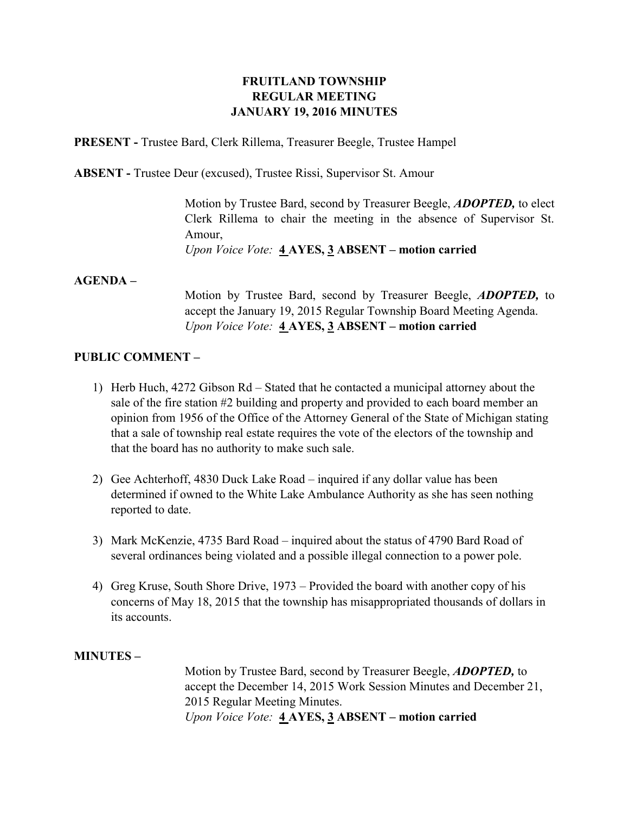## **FRUITLAND TOWNSHIP REGULAR MEETING JANUARY 19, 2016 MINUTES**

**PRESENT -** Trustee Bard, Clerk Rillema, Treasurer Beegle, Trustee Hampel

**ABSENT -** Trustee Deur (excused), Trustee Rissi, Supervisor St. Amour

Motion by Trustee Bard, second by Treasurer Beegle, *ADOPTED,* to elect Clerk Rillema to chair the meeting in the absence of Supervisor St. Amour, *Upon Voice Vote:* **4 AYES, 3 ABSENT – motion carried**

#### **AGENDA –**

Motion by Trustee Bard, second by Treasurer Beegle, *ADOPTED,* to accept the January 19, 2015 Regular Township Board Meeting Agenda. *Upon Voice Vote:* **4 AYES, 3 ABSENT – motion carried**

#### **PUBLIC COMMENT –**

- 1) Herb Huch, 4272 Gibson Rd Stated that he contacted a municipal attorney about the sale of the fire station #2 building and property and provided to each board member an opinion from 1956 of the Office of the Attorney General of the State of Michigan stating that a sale of township real estate requires the vote of the electors of the township and that the board has no authority to make such sale.
- 2) Gee Achterhoff, 4830 Duck Lake Road inquired if any dollar value has been determined if owned to the White Lake Ambulance Authority as she has seen nothing reported to date.
- 3) Mark McKenzie, 4735 Bard Road inquired about the status of 4790 Bard Road of several ordinances being violated and a possible illegal connection to a power pole.
- 4) Greg Kruse, South Shore Drive, 1973 Provided the board with another copy of his concerns of May 18, 2015 that the township has misappropriated thousands of dollars in its accounts.

**MINUTES –**

Motion by Trustee Bard, second by Treasurer Beegle, *ADOPTED,* to accept the December 14, 2015 Work Session Minutes and December 21, 2015 Regular Meeting Minutes. *Upon Voice Vote:* **4 AYES, 3 ABSENT – motion carried**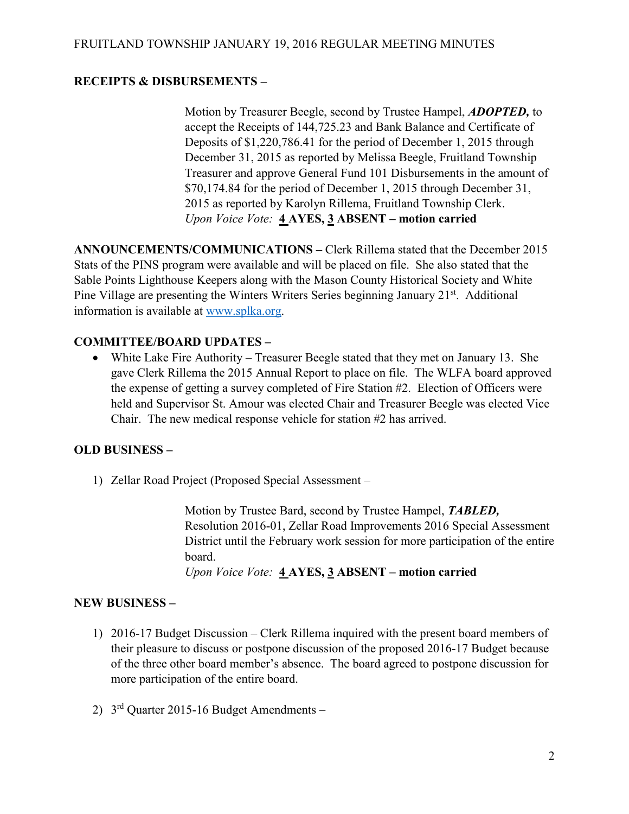# **RECEIPTS & DISBURSEMENTS –**

Motion by Treasurer Beegle, second by Trustee Hampel, *ADOPTED,* to accept the Receipts of 144,725.23 and Bank Balance and Certificate of Deposits of \$1,220,786.41 for the period of December 1, 2015 through December 31, 2015 as reported by Melissa Beegle, Fruitland Township Treasurer and approve General Fund 101 Disbursements in the amount of \$70,174.84 for the period of December 1, 2015 through December 31, 2015 as reported by Karolyn Rillema, Fruitland Township Clerk. *Upon Voice Vote:* **4 AYES, 3 ABSENT – motion carried**

**ANNOUNCEMENTS/COMMUNICATIONS –** Clerk Rillema stated that the December 2015 Stats of the PINS program were available and will be placed on file. She also stated that the Sable Points Lighthouse Keepers along with the Mason County Historical Society and White Pine Village are presenting the Winters Writers Series beginning January 21<sup>st</sup>. Additional information is available at [www.splka.org.](http://www.splka.org/)

# **COMMITTEE/BOARD UPDATES –**

 White Lake Fire Authority – Treasurer Beegle stated that they met on January 13. She gave Clerk Rillema the 2015 Annual Report to place on file. The WLFA board approved the expense of getting a survey completed of Fire Station #2. Election of Officers were held and Supervisor St. Amour was elected Chair and Treasurer Beegle was elected Vice Chair. The new medical response vehicle for station #2 has arrived.

### **OLD BUSINESS –**

1) Zellar Road Project (Proposed Special Assessment –

Motion by Trustee Bard, second by Trustee Hampel, *TABLED,*  Resolution 2016-01, Zellar Road Improvements 2016 Special Assessment District until the February work session for more participation of the entire board.

*Upon Voice Vote:* **4 AYES, 3 ABSENT – motion carried**

### **NEW BUSINESS –**

- 1) 2016-17 Budget Discussion Clerk Rillema inquired with the present board members of their pleasure to discuss or postpone discussion of the proposed 2016-17 Budget because of the three other board member's absence. The board agreed to postpone discussion for more participation of the entire board.
- 2)  $3<sup>rd</sup>$  Quarter 2015-16 Budget Amendments –